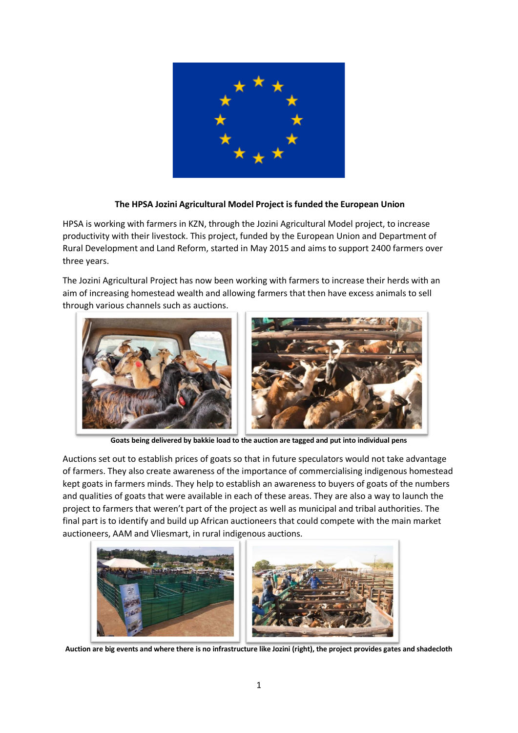

## **The HPSA Jozini Agricultural Model Project is funded the European Union**

HPSA is working with farmers in KZN, through the Jozini Agricultural Model project, to increase productivity with their livestock. This project, funded by the European Union and Department of Rural Development and Land Reform, started in May 2015 and aims to support 2400 farmers over three years.

The Jozini Agricultural Project has now been working with farmers to increase their herds with an aim of increasing homestead wealth and allowing farmers that then have excess animals to sell through various channels such as auctions.



**Goats being delivered by bakkie load to the auction are tagged and put into individual pens**

Auctions set out to establish prices of goats so that in future speculators would not take advantage of farmers. They also create awareness of the importance of commercialising indigenous homestead kept goats in farmers minds. They help to establish an awareness to buyers of goats of the numbers and qualities of goats that were available in each of these areas. They are also a way to launch the project to farmers that weren't part of the project as well as municipal and tribal authorities. The final part is to identify and build up African auctioneers that could compete with the main market auctioneers, AAM and Vliesmart, in rural indigenous auctions.



**Auction are big events and where there is no infrastructure like Jozini (right), the project provides gates and shadecloth**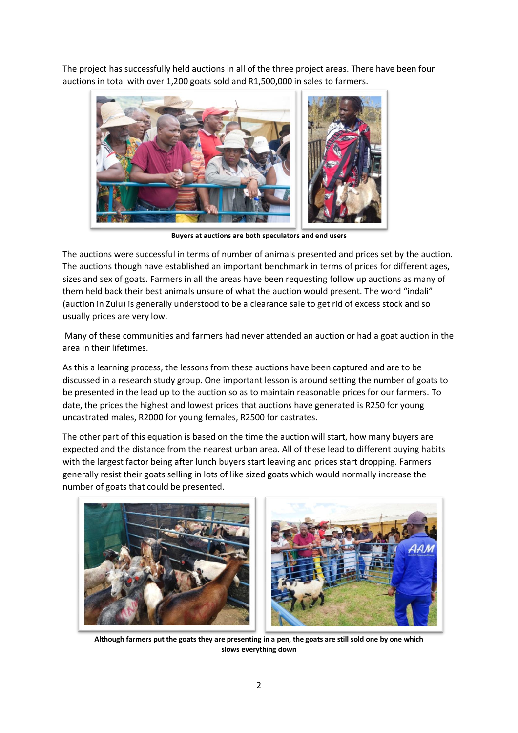The project has successfully held auctions in all of the three project areas. There have been four auctions in total with over 1,200 goats sold and R1,500,000 in sales to farmers.



**Buyers at auctions are both speculators and end users**

The auctions were successful in terms of number of animals presented and prices set by the auction. The auctions though have established an important benchmark in terms of prices for different ages, sizes and sex of goats. Farmers in all the areas have been requesting follow up auctions as many of them held back their best animals unsure of what the auction would present. The word "indali" (auction in Zulu) is generally understood to be a clearance sale to get rid of excess stock and so usually prices are very low.

Many of these communities and farmers had never attended an auction or had a goat auction in the area in their lifetimes.

As this a learning process, the lessons from these auctions have been captured and are to be discussed in a research study group. One important lesson is around setting the number of goats to be presented in the lead up to the auction so as to maintain reasonable prices for our farmers. To date, the prices the highest and lowest prices that auctions have generated is R250 for young uncastrated males, R2000 for young females, R2500 for castrates.

The other part of this equation is based on the time the auction will start, how many buyers are expected and the distance from the nearest urban area. All of these lead to different buying habits with the largest factor being after lunch buyers start leaving and prices start dropping. Farmers generally resist their goats selling in lots of like sized goats which would normally increase the number of goats that could be presented.



**Although farmers put the goats they are presenting in a pen, the goats are still sold one by one which slows everything down**